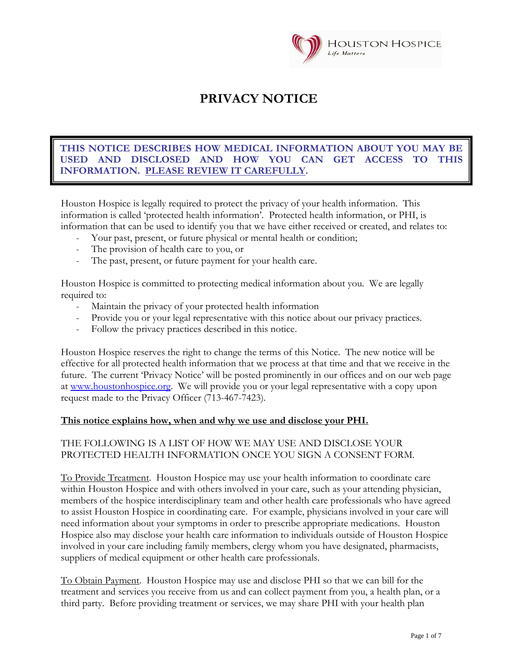

# **PRIVACY NOTICE**

## USED AND DISCLOSED AND HOW YOU CAN GET ACCESS TO THIS **INFORMATION. PLEASE REVIEW IT CAREFULLY.** PLEASE REVIEW IT CAREFULLY. **THIS NOTICE DESCRIBES HOW MEDICAL INFORMATION ABOUT YOU MAY BE**

Houston Hospice is legally required to protect the privacy of your health information. This information is called 'protected health information'. Protected health information, or PHI, is information that can be used to identify you that we have either received or created, and relates to:

- Your past, present, or future physical or mental health or condition;
- The provision of health care to you, or
- The past, present, or future payment for your health care.

Houston Hospice is committed to protecting medical information about you. We are legally required to:

- Maintain the privacy of your protected health information
- Provide you or your legal representative with this notice about our privacy practices.
- Follow the privacy practices described in this notice.

Houston Hospice reserves the right to change the terms of this Notice. The new notice will be effective for all protected health information that we process at that time and that we receive in the future. The current 'Privacy Notice' will be posted prominently in our offices and on our web page at [www.houstonhospice.org.](http://www.houstonhospice.org/) We will provide you or your legal representative with a copy upon request made to the Privacy Officer (713-467-7423).

#### **This notice explains how, when and why we use and disclose your PHI.**

## THE FOLLOWING IS A LIST OF HOW WE MAY USE AND DISCLOSE YOUR PROTECTED HEALTH INFORMATION ONCE YOU SIGN A CONSENT FORM.

To Provide Treatment. Houston Hospice may use your health information to coordinate care within Houston Hospice and with others involved in your care, such as your attending physician, members of the hospice interdisciplinary team and other health care professionals who have agreed to assist Houston Hospice in coordinating care. For example, physicians involved in your care will need information about your symptoms in order to prescribe appropriate medications. Houston Hospice also may disclose your health care information to individuals outside of Houston Hospice involved in your care including family members, clergy whom you have designated, pharmacists, suppliers of medical equipment or other health care professionals.

To Obtain Payment. Houston Hospice may use and disclose PHI so that we can bill for the treatment and services you receive from us and can collect payment from you, a health plan, or a third party. Before providing treatment or services, we may share PHI with your health plan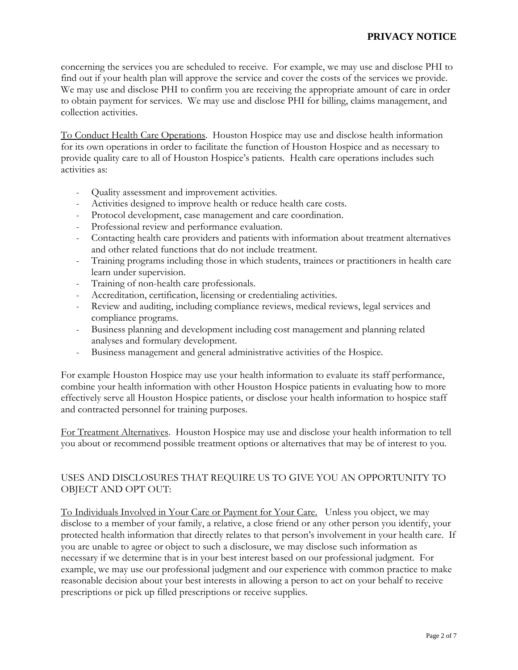concerning the services you are scheduled to receive. For example, we may use and disclose PHI to find out if your health plan will approve the service and cover the costs of the services we provide. We may use and disclose PHI to confirm you are receiving the appropriate amount of care in order to obtain payment for services. We may use and disclose PHI for billing, claims management, and collection activities.

To Conduct Health Care Operations. Houston Hospice may use and disclose health information for its own operations in order to facilitate the function of Houston Hospice and as necessary to provide quality care to all of Houston Hospice's patients. Health care operations includes such activities as:

- Quality assessment and improvement activities.
- Activities designed to improve health or reduce health care costs.
- Protocol development, case management and care coordination.
- Professional review and performance evaluation.
- Contacting health care providers and patients with information about treatment alternatives and other related functions that do not include treatment.
- Training programs including those in which students, trainees or practitioners in health care learn under supervision.
- Training of non-health care professionals.
- Accreditation, certification, licensing or credentialing activities.
- Review and auditing, including compliance reviews, medical reviews, legal services and compliance programs.
- Business planning and development including cost management and planning related analyses and formulary development.
- Business management and general administrative activities of the Hospice.

For example Houston Hospice may use your health information to evaluate its staff performance, combine your health information with other Houston Hospice patients in evaluating how to more effectively serve all Houston Hospice patients, or disclose your health information to hospice staff and contracted personnel for training purposes.

For Treatment Alternatives. Houston Hospice may use and disclose your health information to tell you about or recommend possible treatment options or alternatives that may be of interest to you.

# USES AND DISCLOSURES THAT REQUIRE US TO GIVE YOU AN OPPORTUNITY TO OBJECT AND OPT OUT:

To Individuals Involved in Your Care or Payment for Your Care. Unless you object, we may disclose to a member of your family, a relative, a close friend or any other person you identify, your protected health information that directly relates to that person's involvement in your health care. If you are unable to agree or object to such a disclosure, we may disclose such information as necessary if we determine that is in your best interest based on our professional judgment. For example, we may use our professional judgment and our experience with common practice to make reasonable decision about your best interests in allowing a person to act on your behalf to receive prescriptions or pick up filled prescriptions or receive supplies.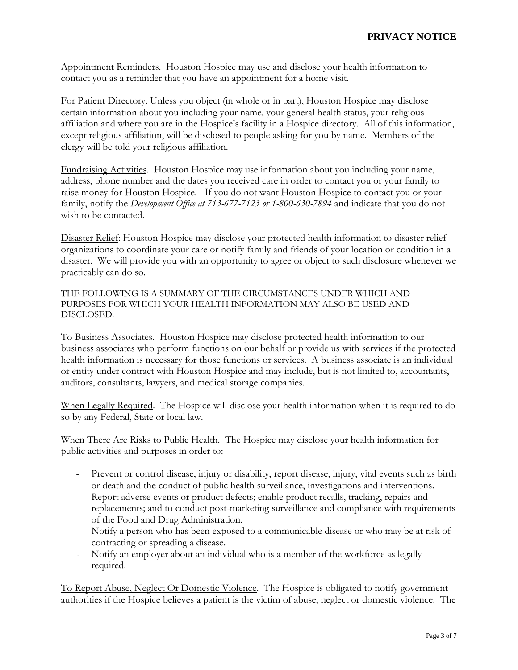Appointment Reminders. Houston Hospice may use and disclose your health information to contact you as a reminder that you have an appointment for a home visit.

For Patient Directory. Unless you object (in whole or in part), Houston Hospice may disclose certain information about you including your name, your general health status, your religious affiliation and where you are in the Hospice's facility in a Hospice directory. All of this information, except religious affiliation, will be disclosed to people asking for you by name. Members of the clergy will be told your religious affiliation.

Fundraising Activities. Houston Hospice may use information about you including your name, address, phone number and the dates you received care in order to contact you or your family to raise money for Houston Hospice. If you do not want Houston Hospice to contact you or your family, notify the *Development Office at 713-677-7123 or 1-800-630-7894* and indicate that you do not wish to be contacted.

Disaster Relief: Houston Hospice may disclose your protected health information to disaster relief organizations to coordinate your care or notify family and friends of your location or condition in a disaster. We will provide you with an opportunity to agree or object to such disclosure whenever we practicably can do so.

THE FOLLOWING IS A SUMMARY OF THE CIRCUMSTANCES UNDER WHICH AND PURPOSES FOR WHICH YOUR HEALTH INFORMATION MAY ALSO BE USED AND DISCLOSED.

To Business Associates. Houston Hospice may disclose protected health information to our business associates who perform functions on our behalf or provide us with services if the protected health information is necessary for those functions or services. A business associate is an individual or entity under contract with Houston Hospice and may include, but is not limited to, accountants, auditors, consultants, lawyers, and medical storage companies.

When Legally Required. The Hospice will disclose your health information when it is required to do so by any Federal, State or local law.

When There Are Risks to Public Health. The Hospice may disclose your health information for public activities and purposes in order to:

- Prevent or control disease, injury or disability, report disease, injury, vital events such as birth or death and the conduct of public health surveillance, investigations and interventions.
- Report adverse events or product defects; enable product recalls, tracking, repairs and replacements; and to conduct post-marketing surveillance and compliance with requirements of the Food and Drug Administration.
- Notify a person who has been exposed to a communicable disease or who may be at risk of contracting or spreading a disease.
- Notify an employer about an individual who is a member of the workforce as legally required.

To Report Abuse, Neglect Or Domestic Violence. The Hospice is obligated to notify government authorities if the Hospice believes a patient is the victim of abuse, neglect or domestic violence. The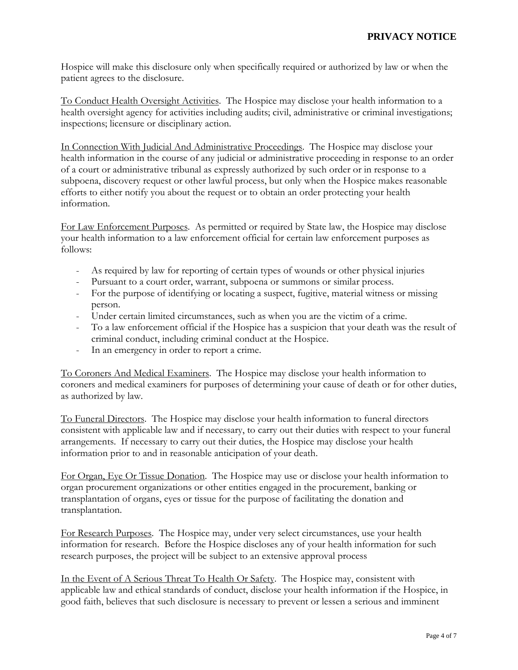Hospice will make this disclosure only when specifically required or authorized by law or when the patient agrees to the disclosure.

To Conduct Health Oversight Activities. The Hospice may disclose your health information to a health oversight agency for activities including audits; civil, administrative or criminal investigations; inspections; licensure or disciplinary action.

In Connection With Judicial And Administrative Proceedings. The Hospice may disclose your health information in the course of any judicial or administrative proceeding in response to an order of a court or administrative tribunal as expressly authorized by such order or in response to a subpoena, discovery request or other lawful process, but only when the Hospice makes reasonable efforts to either notify you about the request or to obtain an order protecting your health information.

For Law Enforcement Purposes. As permitted or required by State law, the Hospice may disclose your health information to a law enforcement official for certain law enforcement purposes as follows:

- As required by law for reporting of certain types of wounds or other physical injuries
- Pursuant to a court order, warrant, subpoena or summons or similar process.
- For the purpose of identifying or locating a suspect, fugitive, material witness or missing person.
- Under certain limited circumstances, such as when you are the victim of a crime.
- To a law enforcement official if the Hospice has a suspicion that your death was the result of criminal conduct, including criminal conduct at the Hospice.
- In an emergency in order to report a crime.

To Coroners And Medical Examiners. The Hospice may disclose your health information to coroners and medical examiners for purposes of determining your cause of death or for other duties, as authorized by law.

To Funeral Directors. The Hospice may disclose your health information to funeral directors consistent with applicable law and if necessary, to carry out their duties with respect to your funeral arrangements. If necessary to carry out their duties, the Hospice may disclose your health information prior to and in reasonable anticipation of your death.

For Organ, Eye Or Tissue Donation. The Hospice may use or disclose your health information to organ procurement organizations or other entities engaged in the procurement, banking or transplantation of organs, eyes or tissue for the purpose of facilitating the donation and transplantation.

For Research Purposes. The Hospice may, under very select circumstances, use your health information for research. Before the Hospice discloses any of your health information for such research purposes, the project will be subject to an extensive approval process

In the Event of A Serious Threat To Health Or Safety. The Hospice may, consistent with applicable law and ethical standards of conduct, disclose your health information if the Hospice, in good faith, believes that such disclosure is necessary to prevent or lessen a serious and imminent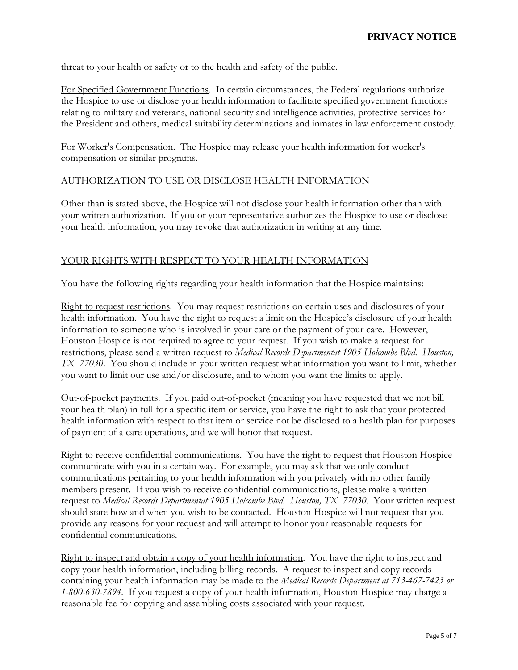threat to your health or safety or to the health and safety of the public.

For Specified Government Functions. In certain circumstances, the Federal regulations authorize the Hospice to use or disclose your health information to facilitate specified government functions relating to military and veterans, national security and intelligence activities, protective services for the President and others, medical suitability determinations and inmates in law enforcement custody.

For Worker's Compensation. The Hospice may release your health information for worker's compensation or similar programs.

#### AUTHORIZATION TO USE OR DISCLOSE HEALTH INFORMATION

Other than is stated above, the Hospice will not disclose your health information other than with your written authorization. If you or your representative authorizes the Hospice to use or disclose your health information, you may revoke that authorization in writing at any time.

#### YOUR RIGHTS WITH RESPECT TO YOUR HEALTH INFORMATION

You have the following rights regarding your health information that the Hospice maintains:

Right to request restrictions. You may request restrictions on certain uses and disclosures of your health information. You have the right to request a limit on the Hospice's disclosure of your health information to someone who is involved in your care or the payment of your care. However, Houston Hospice is not required to agree to your request. If you wish to make a request for restrictions, please send a written request to *Medical Records Departmentat 1905 Holcombe Blvd. Houston, TX 77030*. You should include in your written request what information you want to limit, whether you want to limit our use and/or disclosure, and to whom you want the limits to apply.

Out-of-pocket payments. If you paid out-of-pocket (meaning you have requested that we not bill your health plan) in full for a specific item or service, you have the right to ask that your protected health information with respect to that item or service not be disclosed to a health plan for purposes of payment of a care operations, and we will honor that request.

Right to receive confidential communications. You have the right to request that Houston Hospice communicate with you in a certain way. For example, you may ask that we only conduct communications pertaining to your health information with you privately with no other family members present. If you wish to receive confidential communications, please make a written request to *Medical Records Departmentat 1905 Holcombe Blvd. Houston, TX 77030.* Your written request should state how and when you wish to be contacted*.* Houston Hospice will not request that you provide any reasons for your request and will attempt to honor your reasonable requests for confidential communications.

Right to inspect and obtain a copy of your health information. You have the right to inspect and copy your health information, including billing records. A request to inspect and copy records containing your health information may be made to the *Medical Records Department at 713-467-7423 or 1-800-630-7894.* If you request a copy of your health information, Houston Hospice may charge a reasonable fee for copying and assembling costs associated with your request.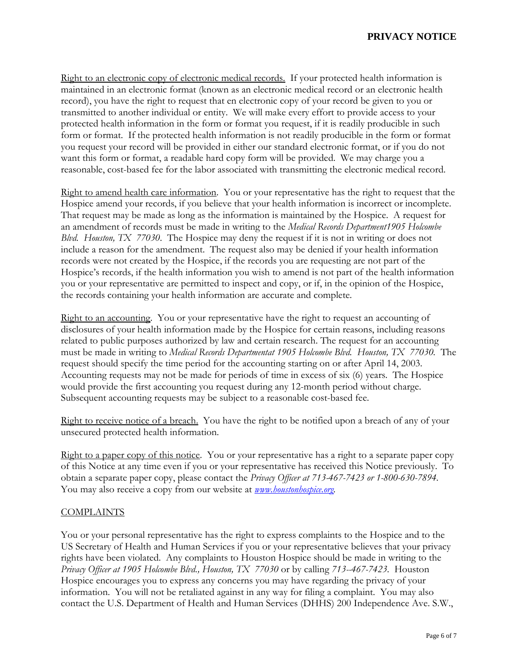# **PRIVACY NOTICE**

Right to an electronic copy of electronic medical records. If your protected health information is maintained in an electronic format (known as an electronic medical record or an electronic health record), you have the right to request that en electronic copy of your record be given to you or transmitted to another individual or entity. We will make every effort to provide access to your protected health information in the form or format you request, if it is readily producible in such form or format. If the protected health information is not readily producible in the form or format you request your record will be provided in either our standard electronic format, or if you do not want this form or format, a readable hard copy form will be provided. We may charge you a reasonable, cost-based fee for the labor associated with transmitting the electronic medical record.

Right to amend health care information. You or your representative has the right to request that the Hospice amend your records, if you believe that your health information is incorrect or incomplete. That request may be made as long as the information is maintained by the Hospice. A request for an amendment of records must be made in writing to the *Medical Records Department1905 Holcombe Blvd. Houston, TX 77030*. The Hospice may deny the request if it is not in writing or does not include a reason for the amendment. The request also may be denied if your health information records were not created by the Hospice, if the records you are requesting are not part of the Hospice's records, if the health information you wish to amend is not part of the health information you or your representative are permitted to inspect and copy, or if, in the opinion of the Hospice, the records containing your health information are accurate and complete.

Right to an accounting. You or your representative have the right to request an accounting of disclosures of your health information made by the Hospice for certain reasons, including reasons related to public purposes authorized by law and certain research. The request for an accounting must be made in writing to *Medical Records Departmentat 1905 Holcombe Blvd. Houston, TX 77030.* The request should specify the time period for the accounting starting on or after April 14, 2003. Accounting requests may not be made for periods of time in excess of six (6) years. The Hospice would provide the first accounting you request during any 12-month period without charge. Subsequent accounting requests may be subject to a reasonable cost-based fee.

Right to receive notice of a breach. You have the right to be notified upon a breach of any of your unsecured protected health information.

Right to a paper copy of this notice. You or your representative has a right to a separate paper copy of this Notice at any time even if you or your representative has received this Notice previously. To obtain a separate paper copy, please contact the *Privacy Officer at 713-467-7423 or 1-800-630-7894.*  You may also receive a copy from our website at *[www.houstonhospice.org.](http://www.houstonhospice.org/)*

#### **COMPLAINTS**

You or your personal representative has the right to express complaints to the Hospice and to the US Secretary of Health and Human Services if you or your representative believes that your privacy rights have been violated. Any complaints to Houston Hospice should be made in writing to the *Privacy Officer at 1905 Holcombe Blvd., Houston, TX 77030* or by calling *713--467-7423.* Houston Hospice encourages you to express any concerns you may have regarding the privacy of your information. You will not be retaliated against in any way for filing a complaint. You may also contact the U.S. Department of Health and Human Services (DHHS) 200 Independence Ave. S.W.,